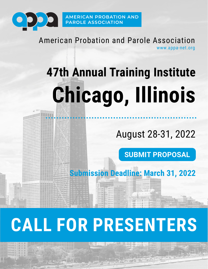

American Probation and Parole Association www.appa-net.org

# **47th Annual Training Institute Chicago, Illinois**

August 28-31, 2022

**[SUBMIT PROPOSAL](https://www.surveymonkey.com/r/ChicagoCFP2022)**

**Submission Deadline: March 31, 2022**

## **CALL FOR PRESENTERS**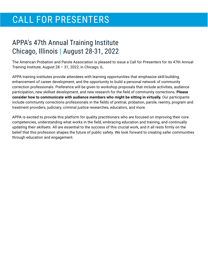## CALL FOR PRESENTERS

## APPA's 47th Annual Training Institute Chicago, Illinois | August 28-31, 2022

The American Probation and Parole Association is pleased to issue a Call for Presenters for its 47th Annual Training Institute, August 28 – 31, 2022, in Chicago, IL.

APPA training institutes provide attendees with learning opportunities that emphasize skill-building, enhancement of career development, and the opportunity to build a personal network of community correction professionals. Preference will be given to workshop proposals that include activities, audience participation, new skillset development, and new research for the field of community corrections. **Please consider how to communicate with audience members who might be sitting in virtually.** Our participants include community corrections professionals in the fields of pretrial, probation, parole, reentry, program and treatment providers, judiciary, criminal justice researches, educators, and more.

APPA is excited to provide this platform for quality practitioners who are focused on improving their core competencies, understanding what works in the field, embracing education and training, and continually updating their skillsets. All are essential to the success of this crucial work, and it all rests firmly on the belief that this profession shapes the future of public safety. We look forward to creating safer communities through education and engagement.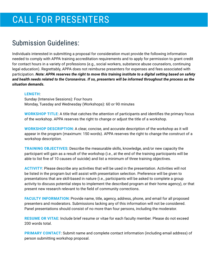## Submission Guidelines:

Individuals interested in submitting a proposal for consideration must provide the following information needed to comply with APPA training accreditation requirements and to apply for permission to grant credit for contact hours in a variety of professions (e.g., social workers, substance abuse counselors, continuing legal education). Regrettably, APPA does not reimburse presenters for expenses and fees associated with participation. *Note: APPA reserves the right to move this training institute to a digital setting based on safety and health needs related to the Coronavirus. If so, presenters will be informed throughout the process as the situation demands.* 

#### **LENGTH**:

Sunday (Intensive Sessions): Four hours Monday, Tuesday and Wednesday (Workshops): 60 or 90 minutes

**WORKSHOP TITLE**: A title that catches the attention of participants and identifies the primary focus of the workshop. APPA reserves the right to change or adjust the title of a workshop.

**WORKSHOP DESCRIPTION**: A clear, concise, and accurate description of the workshop as it will appear in the program (maximum: 150 words). APPA reserves the right to change the construct of a workshop description.

**TRAINING OBJECTIVES**: Describe the measurable skills, knowledge, and/or new capacity the participant will gain as a result of the workshop (i.e., at the end of the training participants will be able to list five of 10 causes of suicide) and list a minimum of three training objectives.

**ACTIVITY**: Please describe any activities that will be used in the presentation. Activities will not be listed in the program but will assist with presentation selection. Preference will be given to presentations that are skill-based in nature (i.e., participants will be asked to complete a group activity to discuss potential steps to implement the described program at their home agency), or that present new research relevant to the field of community corrections.

**FACULTY INFORMATION**: Provide name, title, agency, address, phone, and email for all proposed presenters and moderators. Submissions lacking any of this information will not be considered. Panel presentations should consist of no more than four persons, including the moderator.

**RESUME OR VITAE**: Include brief resume or vitae for each faculty member. Please do not exceed 200 words total.

**PRIMARY CONTACT**: Submit name and complete contact information (including email address) of person submitting workshop proposal.